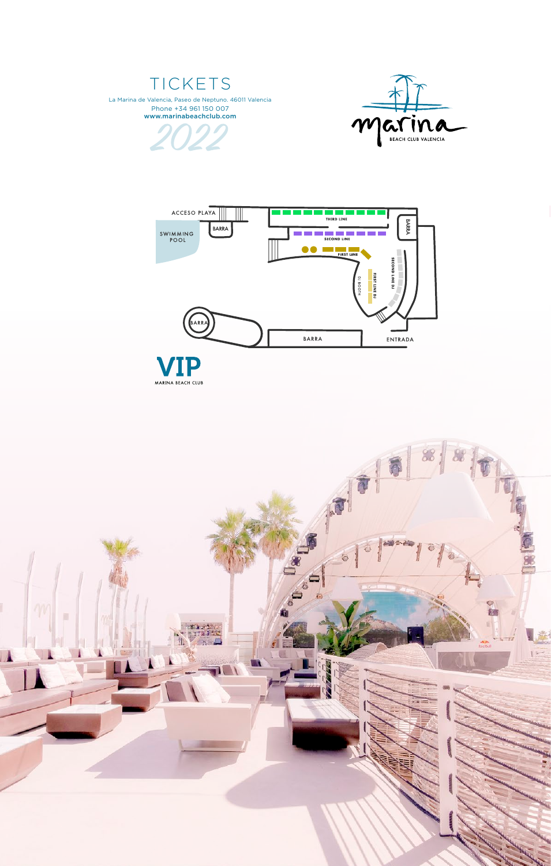## TICKETS

La Marina de Valencia, Paseo de Neptuno. 46011 Valencia Phone +34 961 150 007 www.marinabeachclub.com22

MARINA BEACH CLUB



**BARRA**